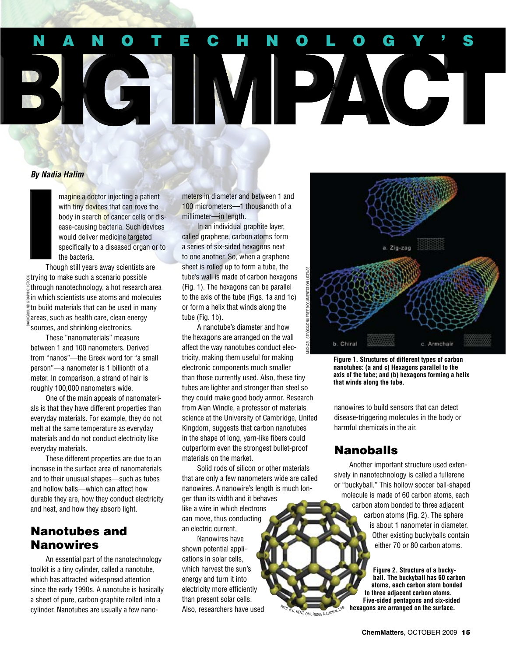# N anotechnology ' s C 5 IMPA

### *By Nadia Halim*

magine a doctor injecting a patient with tiny devices that can rove the body in search of cancer cells or disease-causing bacteria. Such devices would deliver medicine targeted specifically to a diseased organ or to the bacteria.

Though still years away scientists are trying to make such a scenario possible through nanotechnology, a hot research area  $\bar{\hat{\pmb{z}}}$ in which scientists use atoms and molecules  $\tilde{\Xi}$ to build materials that can be used in many areas, such as health care, clean energy sources, and shrinking electronics. background graphic: istock

These "nanomaterials" measure between 1 and 100 nanometers. Derived from "nanos"—the Greek word for "a small person"—a nanometer is 1 billionth of a meter. In comparison, a strand of hair is roughly 100,000 nanometers wide.

One of the main appeals of nanomaterials is that they have different properties than everyday materials. For example, they do not melt at the same temperature as everyday materials and do not conduct electricity like everyday materials.

These different properties are due to an increase in the surface area of nanomaterials and to their unusual shapes—such as tubes and hollow balls—which can affect how durable they are, how they conduct electricity and heat, and how they absorb light.

## Nanotubes and Nanowires

An essential part of the nanotechnology toolkit is a tiny cylinder, called a nanotube, which has attracted widespread attention since the early 1990s. A nanotube is basically a sheet of pure, carbon graphite rolled into a cylinder. Nanotubes are usually a few nanometers in diameter and between 1 and 100 micrometers—1 thousandth of a millimeter—in length.

In an individual graphite layer, called graphene, carbon atoms form a series of six-sided hexagons next to one another. So, when a graphene sheet is rolled up to form a tube, the tube's wall is made of carbon hexagons (Fig. 1). The hexagons can be parallel to the axis of the tube (Figs. 1a and 1c) or form a helix that winds along the tube (Fig. 1b).

A nanotube's diameter and how the hexagons are arranged on the wall affect the way nanotubes conduct electricity, making them useful for making electronic components much smaller than those currently used. Also, these tiny tubes are lighter and stronger than steel so they could make good body armor. Research from Alan Windle, a professor of materials science at the University of Cambridge, United Kingdom, suggests that carbon nanotubes in the shape of long, yarn-like fibers could outperform even the strongest bullet-proof materials on the market.

Solid rods of silicon or other materials that are only a few nanometers wide are called nanowires. A nanowire's length is much longer than its width and it behaves like a wire in which electrons can move, thus conducting an electric current.

Nanowires have shown potential applications in solar cells, which harvest the sun's energy and turn it into electricity more efficiently than present solar cells. Also, researchers have used



**Figure 1. Structures of different types of carbon nanotubes: (a and c) Hexagons parallel to the axis of the tube; and (b) hexagons forming a helix that winds along the tube.**

nanowires to build sensors that can detect disease-triggering molecules in the body or harmful chemicals in the air.

## Nanoballs

KENT, OAK RIDGE NATIONAL

Another important structure used extensively in nanotechnology is called a fullerene or "buckyball." This hollow soccer ball-shaped molecule is made of 60 carbon atoms, each carbon atom bonded to three adjacent carbon atoms (Fig. 2). The sphere is about 1 nanometer in diameter. Other existing buckyballs contain either 70 or 80 carbon atoms.

> **Figure 2. Structure of a buckyball. The buckyball has 60 carbon atoms, each carbon atom bonded to three adjacent carbon atoms. Five-sided pentagons and six-sided hexagons are arranged on the surface.**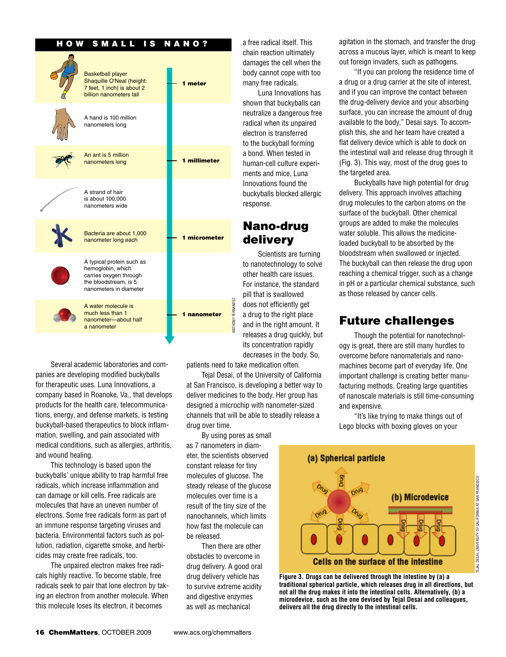#### HOW SMALL IS NANO?

| <b>Basketball player</b><br>Shaquille O'Neal (height:<br>7 feet, 1 inch) is about 2<br>billion nanometers tall              | 1 meter      |
|-----------------------------------------------------------------------------------------------------------------------------|--------------|
| A hand is 100 million<br>nanometers long                                                                                    |              |
| An ant is 5 million<br>nanometers long                                                                                      | 1 millimeter |
| A strand of hair<br>is about 100,000<br>nanometers wide                                                                     |              |
| Bacteria are about 1,000<br>nanometer long each                                                                             | 1 micrometer |
| A typical protein such as<br>hemoglobin, which<br>carries oxygen through<br>the bloodstream, is 5<br>nanometers in diameter |              |
| A water molecule is<br>much less than 1<br>nanometer-about half                                                             | 1 nanometer  |

Several academic laboratories and companies are developing modified buckyballs for therapeutic uses. Luna Innovations, a company based in Roanoke, Va., that develops products for the health care, telecommunications, energy, and defense markets, is testing buckyball-based therapeutics to block inflammation, swelling, and pain associated with medical conditions, such as allergies, arthritis, and wound healing.

a nanometer

This technology is based upon the buckyballs' unique ability to trap harmful free radicals, which increase inflammation and can damage or kill cells. Free radicals are molecules that have an uneven number of electrons. Some free radicals form as part of an immune response targeting viruses and bacteria. Environmental factors such as pollution, radiation, cigarette smoke, and herbicides may create free radicals, too.

The unpaired electron makes free radicals highly reactive. To become stable, free radicals seek to pair that lone electron by taking an electron from another molecule. When this molecule loses its electron, it becomes

a free radical itself. This chain reaction ultimately damages the cell when the body cannot cope with too many free radicals.

Luna Innovations has shown that buckyballs can neutralize a dangerous free radical when its unpaired electron is transferred to the buckyball forming a bond. When tested in human-cell culture experiments and mice, Luna Innovations found the buckyballs blocked allergic response.

## Nano-drug delivery

Scientists are turning to nanotechnology to solve other health care issues. For instance, the standard pill that is swallowed does not efficiently get a drug to the right place and in the right amount. It releases a drug quickly, but its concentration rapidly decreases in the body. So,

patients need to take medication often.

anthony fernandez

ANTHONY FERNANDEZ

Tejal Desai, of the University of California at San Francisco, is developing a better way to deliver medicines to the body. Her group has designed a microchip with nanometer-sized channels that will be able to steadily release a drug over time.

By using pores as small as 7 nanometers in diameter, the scientists observed constant release for tiny molecules of glucose. The steady release of the glucose molecules over time is a result of the tiny size of the nanochannels, which limits how fast the molecule can be released.

Then there are other obstacles to overcome in drug delivery. A good oral drug delivery vehicle has to survive extreme acidity and digestive enzymes as well as mechanical

agitation in the stomach, and transfer the drug across a mucous layer, which is meant to keep out foreign invaders, such as pathogens.

"If you can prolong the residence time of a drug or a drug carrier at the site of interest, and if you can improve the contact between the drug-delivery device and your absorbing surface, you can increase the amount of drug available to the body," Desai says. To accomplish this, she and her team have created a flat delivery device which is able to dock on the intestinal wall and release drug through it (Fig. 3). This way, most of the drug goes to the targeted area.

Buckyballs have high potential for drug delivery. This approach involves attaching drug molecules to the carbon atoms on the surface of the buckyball. Other chemical groups are added to make the molecules water soluble. This allows the medicineloaded buckyball to be absorbed by the bloodstream when swallowed or injected. The buckyball can then release the drug upon reaching a chemical trigger, such as a change in pH or a particular chemical substance, such as those released by cancer cells.

## Future challenges

Though the potential for nanotechnology is great, there are still many hurdles to overcome before nanomaterials and nanomachines become part of everyday life. One important challenge is creating better manufacturing methods. Creating large quantities of nanoscale materials is still time-consuming and expensive.

"It's like trying to make things out of Lego blocks with boxing gloves on your



**Figure 3. Drugs can be delivered through the intestine by (a) a traditional spherical particle, which releases drug in all directions, but not all the drug makes it into the intestinal cells. Alternatively, (b) a microdevice, such as the one devised by Tejal Desai and colleagues, delivers all the drug directly to the intestinal cells.**